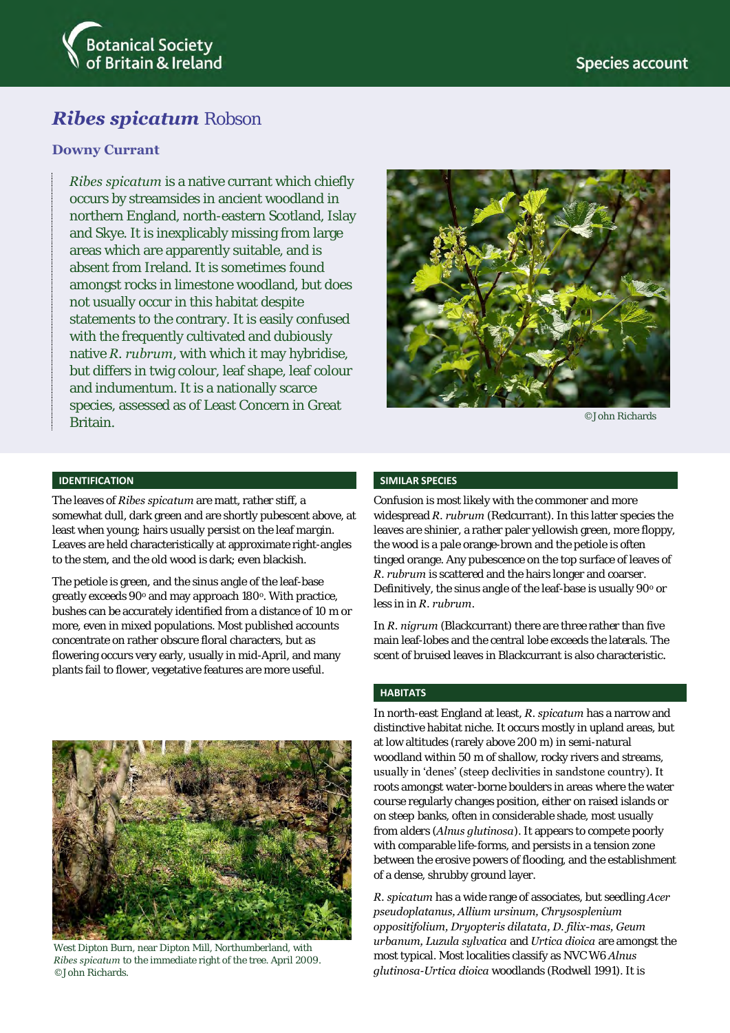

# *Ribes spicatum* Robson

## **Downy Currant**

*Ribes spicatum* is a native currant which chiefly occurs by streamsides in ancient woodland in northern England, north-eastern Scotland, Islay and Skye. It is inexplicably missing from large areas which are apparently suitable, and is absent from Ireland. It is sometimes found amongst rocks in limestone woodland, but does not usually occur in this habitat despite statements to the contrary. It is easily confused with the frequently cultivated and dubiously native *R. rubrum*, with which it may hybridise, but differs in twig colour, leaf shape, leaf colour and indumentum. It is a nationally scarce species, assessed as of Least Concern in Great Britain.



©John Richards

#### **IDENTIFICATION**

The leaves of *Ribes spicatum* are matt, rather stiff, a somewhat dull, dark green and are shortly pubescent above, at least when young; hairs usually persist on the leaf margin. Leaves are held characteristically at approximate right-angles to the stem, and the old wood is dark; even blackish.

The petiole is green, and the sinus angle of the leaf-base greatly exceeds 90° and may approach 180°. With practice, bushes can be accurately identified from a distance of 10 m or more, even in mixed populations. Most published accounts concentrate on rather obscure floral characters, but as flowering occurs very early, usually in mid-April, and many plants fail to flower, vegetative features are more useful.



West Dipton Burn, near Dipton Mill, Northumberland, with *Ribes spicatum* to the immediate right of the tree. April 2009. ©John Richards.

#### **SIMILAR SPECIES**

Confusion is most likely with the commoner and more widespread *R. rubrum* (Redcurrant). In this latter species the leaves are shinier, a rather paler yellowish green, more floppy, the wood is a pale orange-brown and the petiole is often tinged orange. Any pubescence on the top surface of leaves of *R. rubrum* is scattered and the hairs longer and coarser. Definitively, the sinus angle of the leaf-base is usually 90° or less in in *R. rubrum*.

In *R. nigrum* (Blackcurrant) there are three rather than five main leaf-lobes and the central lobe exceeds the laterals. The scent of bruised leaves in Blackcurrant is also characteristic.

### **HABITATS**

In north-east England at least, *R. spicatum* has a narrow and distinctive habitat niche. It occurs mostly in upland areas, but at low altitudes (rarely above 200 m) in semi-natural woodland within 50 m of shallow, rocky rivers and streams, usually in 'denes' (steep declivities in sandstone country). It roots amongst water-borne boulders in areas where the water course regularly changes position, either on raised islands or on steep banks, often in considerable shade, most usually from alders (*Alnus glutinosa*). It appears to compete poorly with comparable life-forms, and persists in a tension zone between the erosive powers of flooding, and the establishment of a dense, shrubby ground layer.

*R. spicatum* has a wide range of associates, but seedling *Acer pseudoplatanus, Allium ursinum, Chrysosplenium oppositifolium, Dryopteris dilatata, D. filix-mas, Geum urbanum, Luzula sylvatica* and *Urtica dioica* are amongst the most typical. Most localities classify as NVC W6 *Alnus glutinosa*-*Urtica dioica* woodlands (Rodwell 1991). It is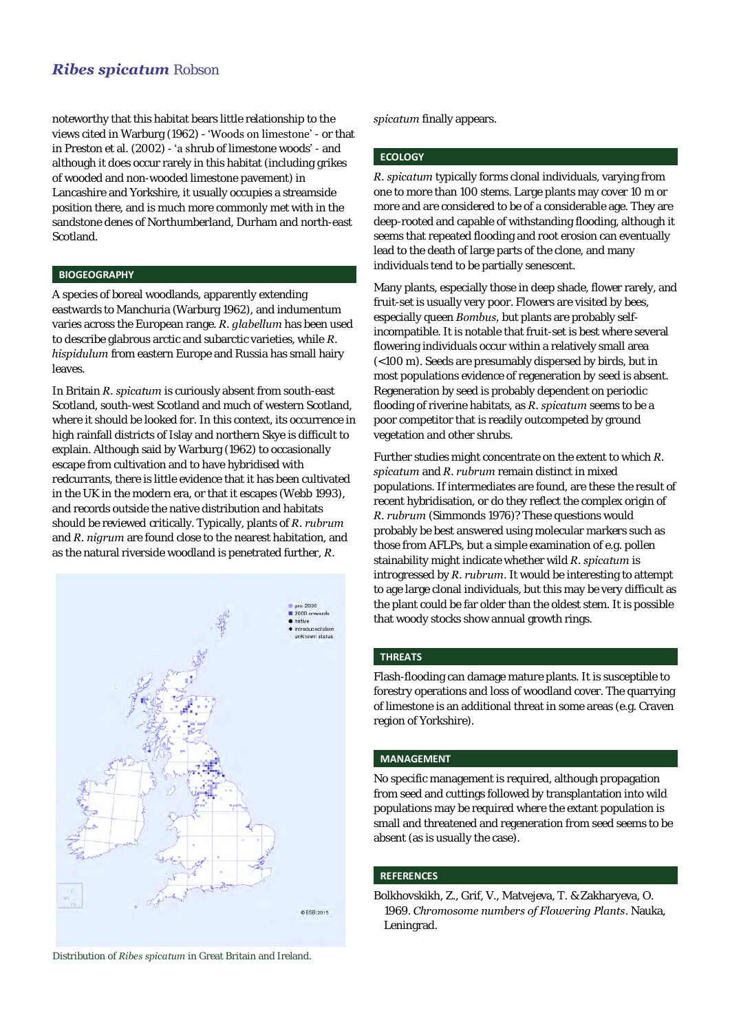# *Ribes spicatum* Robson

noteworthy that this habitat bears little relationship to the views cited in Warburg (1962) - 'Woods on limestone' - or that in Preston et al. (2002) - 'a shrub of limestone woods' - and although it does occur rarely in this habitat (including grikes of wooded and non-wooded limestone pavement) in Lancashire and Yorkshire, it usually occupies a streamside position there, and is much more commonly met with in the sandstone denes of Northumberland, Durham and north-east Scotland.

### **BIOGEOGRAPHY**

A species of boreal woodlands, apparently extending eastwards to Manchuria (Warburg 1962), and indumentum varies across the European range. *R. glabellum* has been used to describe glabrous arctic and subarctic varieties, while *R. hispidulum* from eastern Europe and Russia has small hairy leaves.

In Britain *R. spicatum* is curiously absent from south-east Scotland, south-west Scotland and much of western Scotland, where it should be looked for. In this context, its occurrence in high rainfall districts of Islay and northern Skye is difficult to explain. Although said by Warburg (1962) to occasionally escape from cultivation and to have hybridised with redcurrants, there is little evidence that it has been cultivated in the UK in the modern era, or that it escapes (Webb 1993), and records outside the native distribution and habitats should be reviewed critically. Typically, plants of *R. rubrum* and *R. nigrum* are found close to the nearest habitation, and as the natural riverside woodland is penetrated further, *R.* 



Distribution of *Ribes spicatum* in Great Britain and Ireland.

*spicatum* finally appears.

# **ECOLOGY**

*R. spicatum* typically forms clonal individuals, varying from one to more than 100 stems. Large plants may cover 10 m or more and are considered to be of a considerable age. They are deep-rooted and capable of withstanding flooding, although it seems that repeated flooding and root erosion can eventually lead to the death of large parts of the clone, and many individuals tend to be partially senescent.

Many plants, especially those in deep shade, flower rarely, and fruit-set is usually very poor. Flowers are visited by bees, especially queen *Bombus,* but plants are probably selfincompatible. It is notable that fruit-set is best where several flowering individuals occur within a relatively small area (<100 m). Seeds are presumably dispersed by birds, but in most populations evidence of regeneration by seed is absent. Regeneration by seed is probably dependent on periodic flooding of riverine habitats, as *R. spicatum* seems to be a poor competitor that is readily outcompeted by ground vegetation and other shrubs.

Further studies might concentrate on the extent to which *R. spicatum* and *R. rubrum* remain distinct in mixed populations. If intermediates are found, are these the result of recent hybridisation, or do they reflect the complex origin of *R. rubrum* (Simmonds 1976)? These questions would probably be best answered using molecular markers such as those from AFLPs, but a simple examination of e.g. pollen stainability might indicate whether wild *R. spicatum* is introgressed by *R. rubrum*. It would be interesting to attempt to age large clonal individuals, but this may be very difficult as the plant could be far older than the oldest stem. It is possible that woody stocks show annual growth rings.

### **THREATS**

Flash-flooding can damage mature plants. It is susceptible to forestry operations and loss of woodland cover. The quarrying of limestone is an additional threat in some areas (e.g. Craven region of Yorkshire).

### **MANAGEMENT**

No specific management is required, although propagation from seed and cuttings followed by transplantation into wild populations may be required where the extant population is small and threatened and regeneration from seed seems to be absent (as is usually the case).

#### **REFERENCES**

Bolkhovskikh, Z., Grif, V., Matvejeva, T. & Zakharyeva, O. 1969. *Chromosome numbers of Flowering Plants*. Nauka, Leningrad.